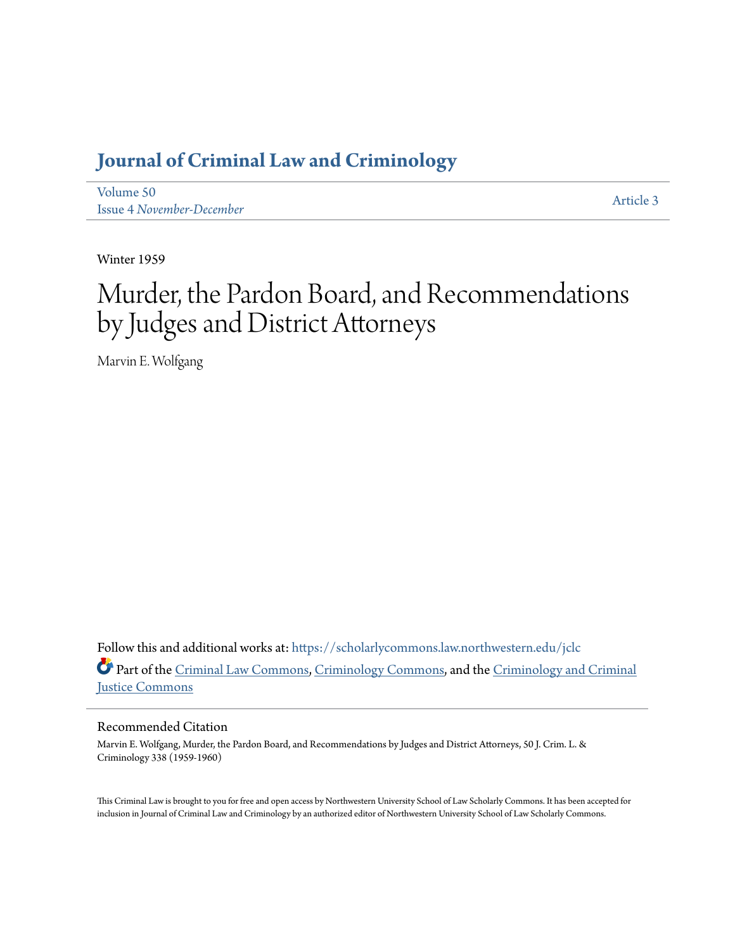# **[Journal of Criminal Law and Criminology](https://scholarlycommons.law.northwestern.edu/jclc?utm_source=scholarlycommons.law.northwestern.edu%2Fjclc%2Fvol50%2Fiss4%2F3&utm_medium=PDF&utm_campaign=PDFCoverPages)**

[Volume 50](https://scholarlycommons.law.northwestern.edu/jclc/vol50?utm_source=scholarlycommons.law.northwestern.edu%2Fjclc%2Fvol50%2Fiss4%2F3&utm_medium=PDF&utm_campaign=PDFCoverPages) Issue 4 *[November-December](https://scholarlycommons.law.northwestern.edu/jclc/vol50/iss4?utm_source=scholarlycommons.law.northwestern.edu%2Fjclc%2Fvol50%2Fiss4%2F3&utm_medium=PDF&utm_campaign=PDFCoverPages)*

[Article 3](https://scholarlycommons.law.northwestern.edu/jclc/vol50/iss4/3?utm_source=scholarlycommons.law.northwestern.edu%2Fjclc%2Fvol50%2Fiss4%2F3&utm_medium=PDF&utm_campaign=PDFCoverPages)

Winter 1959

# Murder, the Pardon Board, and Recommendations by Judges and District Attorneys

Marvin E. Wolfgang

Follow this and additional works at: [https://scholarlycommons.law.northwestern.edu/jclc](https://scholarlycommons.law.northwestern.edu/jclc?utm_source=scholarlycommons.law.northwestern.edu%2Fjclc%2Fvol50%2Fiss4%2F3&utm_medium=PDF&utm_campaign=PDFCoverPages) Part of the [Criminal Law Commons](http://network.bepress.com/hgg/discipline/912?utm_source=scholarlycommons.law.northwestern.edu%2Fjclc%2Fvol50%2Fiss4%2F3&utm_medium=PDF&utm_campaign=PDFCoverPages), [Criminology Commons](http://network.bepress.com/hgg/discipline/417?utm_source=scholarlycommons.law.northwestern.edu%2Fjclc%2Fvol50%2Fiss4%2F3&utm_medium=PDF&utm_campaign=PDFCoverPages), and the [Criminology and Criminal](http://network.bepress.com/hgg/discipline/367?utm_source=scholarlycommons.law.northwestern.edu%2Fjclc%2Fvol50%2Fiss4%2F3&utm_medium=PDF&utm_campaign=PDFCoverPages) [Justice Commons](http://network.bepress.com/hgg/discipline/367?utm_source=scholarlycommons.law.northwestern.edu%2Fjclc%2Fvol50%2Fiss4%2F3&utm_medium=PDF&utm_campaign=PDFCoverPages)

# Recommended Citation

Marvin E. Wolfgang, Murder, the Pardon Board, and Recommendations by Judges and District Attorneys, 50 J. Crim. L. & Criminology 338 (1959-1960)

This Criminal Law is brought to you for free and open access by Northwestern University School of Law Scholarly Commons. It has been accepted for inclusion in Journal of Criminal Law and Criminology by an authorized editor of Northwestern University School of Law Scholarly Commons.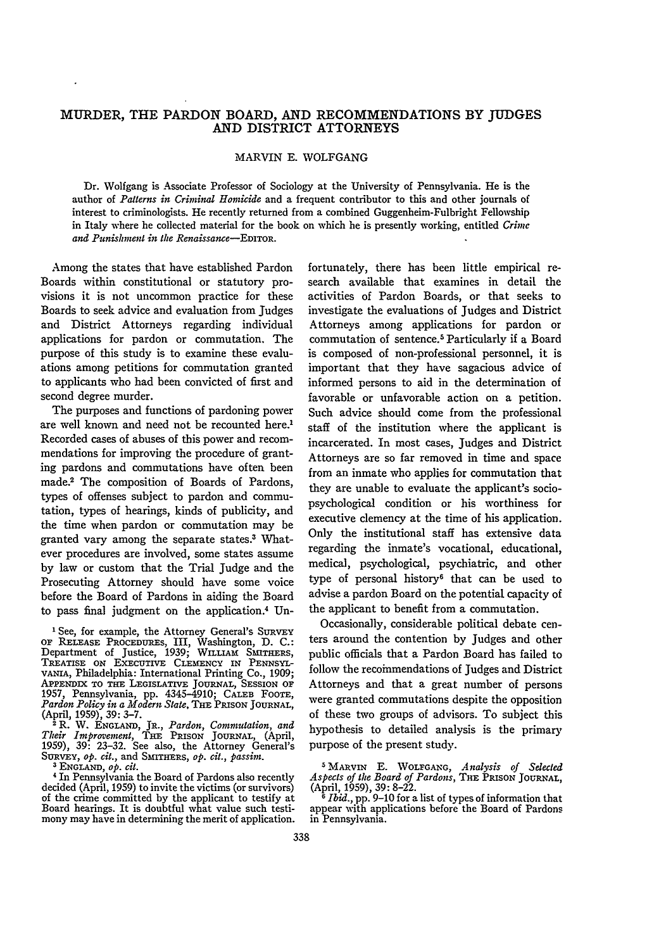# MURDER, THE PARDON BOARD, AND RECOMMENDATIONS BY JUDGES AND DISTRICT ATTORNEYS

## MARVIN **E.** WOLFGANG

Dr. Wolfgang is Associate Professor of Sociology at the University of Pennsylvania. He is the author of *Patterns in Criminal Homicide* and a frequent contributor to this and other journals of interest to criminologists. He recently returned from a combined Guggenheim-Fulbright Fellowship in Italy where he collected material for the book on which he is presently working, entitled *Crimc and Punishment in the Renaissance-EDITOR.*

Among the states that have established Pardon Boards within constitutional or statutory provisions it is not uncommon practice for these Boards to seek advice and evaluation from Judges and District Attorneys regarding individual applications for pardon or commutation. The purpose of this study is to examine these evaluations among petitions for commutation granted to applicants who had been convicted of first and second degree murder.

The purposes and functions of pardoning power are well known and need not be recounted here.<sup>1</sup> Recorded cases of abuses of this power and recommendations for improving the procedure of granting pardons and commutations have often been made.2 The composition of Boards of Pardons, types of offenses subject to pardon and commutation, types of hearings, kinds of publicity, and the time when pardon or commutation may be granted vary among the separate states.3 Whatever procedures are involved, some states assume by law or custom that the Trial Judge and the Prosecuting Attorney should have some voice before the Board of Pardons in aiding the Board to pass final judgment on the application.<sup>4</sup> Un-

<sup>1</sup> See, for example, the Attorney General's SURVEY OF RELEASE PROCEDURES, III, Washington, D. C.:<br>Department of Justice, 1939; WILLIAM SMITHERS,<br>TREATISE ON EXECUTIVE CLEMENCY IN PENNSYL-VANIA, Philadelphia: International Printing Co., 1909; APPENDIX TO **THE** LEGISLATIVE JOURNAL, **SESSION** OF 1957, Pennsylvania, pp. 4345-4910; CALEB FOOTE, *Pardon Policy in a Modern State,* THE PRISON **JOURNAL,**

(April, 1959), 39: 3-7. 2 R. W. ENGLAND, JR., *Pardon, Commutation, and Thdr Improvement,* THE PRISON **JOURNAL,** (April, 1959), 39: 23-32. See also, the Attorney General's

SURVEY, op. cit., and SMITHERS, op. cit., passim.<br><sup>3</sup> ENGLAND, op. cit.<br><sup>3</sup> ENGLAND, op. cit.<br><sup>4</sup> In Pennsylvania the Board of Pardons also recently<br>decided (April, 1959) to invite the victims (or survivors)<br>of the crime Board hearings. It is doubtful what value such testimony may have in determining the merit of application. fortunately, there has been little empirical research available that examines in detail the activities of Pardon Boards, or that seeks to investigate the evaluations of Judges and District Attorneys among applications for pardon or commutation of sentence.<sup>5</sup> Particularly if a Board is composed of non-professional personnel, it is important that they have sagacious advice of informed persons to aid in the determination of favorable or unfavorable action on a petition. Such advice should come from the professional staff of the institution where the applicant is incarcerated. In most cases, Judges and District Attorneys are so far removed in time and space from an inmate who applies for commutation that they are unable to evaluate the applicant's sociopsychological condition or his worthiness for executive clemency at the time of his application. Only the institutional staff has extensive data regarding the inmate's vocational, educational, medical, psychological, psychiatric, and other type of personal history<sup>6</sup> that can be used to advise a pardon Board on the potential capacity of the applicant to benefit from a commutation.

Occasionally, considerable political debate centers around the contention **by** Judges and other public officials that a Pardon Board has failed to follow the recommendations of Judges and District Attorneys and that a great number of persons were granted commutations despite the opposition of these two groups of advisors. To subject this hypothesis to detailed analysis is the primary purpose of the present study.

**<sup>5</sup> MARVIN E. WOLFGANG,** *Analysis of Selected Aspects of* the *Board of Pardons,* **THE PRISON JOURNAL,** (April, **1959), 39: 8-22.**

*<sup>6</sup> Ibid.,* **pp. 9-10 for a list of types of information that** appear with applications before the Board of Pardons **in** Pennsylvania.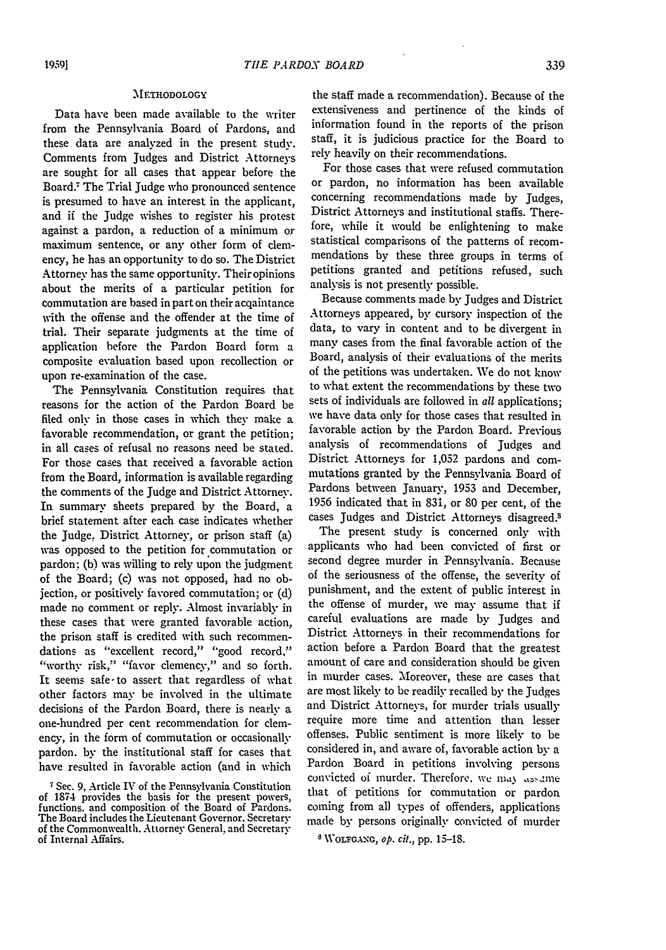#### **METHODOLOGY**

Data have been made available to the writer from the Pennsylvania Board of Pardons, and these data are analyzed in the present study. Comments from Judges and District Attorneys are sought for all cases that appear before the Board. The Trial Judge **who** pronounced sentence is presumed to have an interest in the applicant, and if the Judge wishes to register his protest against a pardon, a reduction of a minimum or maximum sentence, or any other form of clemency, he has an opportunity to do so. The District Attorney has the same opportunity. Their opinions about the merits of a particular petition for commutation are based in part on their acqaintance with the offense and the offender at the time of trial. Their separate judgments at the time of application before the Pardon Board form a composite evaluation based upon recollection or upon re-examination of the case.

The Pennsylvania Constitution requires that reasons for the action of the Pardon Board be filed only in those cases in which they make a favorable recommendation, or grant the petition; in all cases of refusal no reasons need be stated. For those cases that received a favorable action from the Board, information is available regarding the comments of the Judge and District Attorney. In summary sheets prepared **by** the Board, a brief statement after each case indicates whether the Judge, District Attorney, or prison staff (a) was opposed to the petition for commutation or pardon: **(b)** was willing to rely upon the judgment of the Board; (c) was not opposed, had no objection, or positively favored commutation; or **(d)** made no comment or reply. Almost invariably in these cases that were granted favorable action, the prison staff is credited with such recommendations as "excellent record," "good record." "worthy risk," "favor clemency," and so forth. It seems safe-to assert that regardless of what other factors may be involved in the ultimate decisions of the Pardon Board, there is nearly a one-hundred per cent recommendation for clemency, in the form of commutation or occasionally pardon. by the institutional staff for cases that have resulted in favorable action (and in which

Sec. 9, Article IV of the Pennsylvania Constitution of 1874 provides the basis for the present powers, functions, and composition of the Board of Pardons. The Board includes the Lieutenant Governor. Secretary of the Commonwealth. Attorney General, and Secretary of Internal Affairs.

the staff made a recommendation). Because of the extensiveness and pertinence of the kinds of information found in the reports of the prison staff, it is judicious practice for the Board to rely heavily on their recommendations.

For those cases that were refused commutation or pardon, no information has been available concerning recommendations made by Judges, District Attorneys and institutional staffs. Therefore, while it would be enlightening to make statistical comparisons of the patterns of recommendations by these three groups in terms of petitions granted and petitions refused, such analysis is not presently possible.

Because comments made by Judges and District Attorneys appeared, by cursory inspection of the data, to vary in content and to be divergent in many' cases from the final favorable action of the Board, analysis of their evaluations of the merits of the petitions was undertaken. We do not know to what extent the recommendations by these two sets of individuals are followed in *all* applications; we have data only for those cases that resulted in favorable action by the Pardon Board. Previous analysis of recommendations of Judges and District Attorneys for 1,052 pardons and commutations granted by the Pennsylvania Board of Pardons between January, 1953 and December, 1956 indicated that in 831, or 80 per cent, of the cases Judges and District Attorneys disagreed.3

The present study is concerned only with applicants who had been convicted of first or second degree murder in Pennsylvania. Because of the seriousness of the offense, the severity of punishment, and the extent of public interest in the offense of murder, we **may** assume that if careful evaluations are made by Judges and District Attorneys in their recommendations for action before a Pardon Board that the greatest amount of care and consideration should be given in murder cases. Moreover, these are cases that are most likely to **be** readily recalled by the Judges and District Attorneys, for murder trials usually require more time and attention than lesser offenses. Public sentiment is more likely to be considered in, and aware of, favorable action by a Pardon Board in petitions involving persons convicted of murder. Therefore, we may assume that of petitions for commutation or pardon coming from all types of offenders, applications made by persons originally convicted of murder

S **WOLFGANG,** *op. cit.,* pp. 15-18.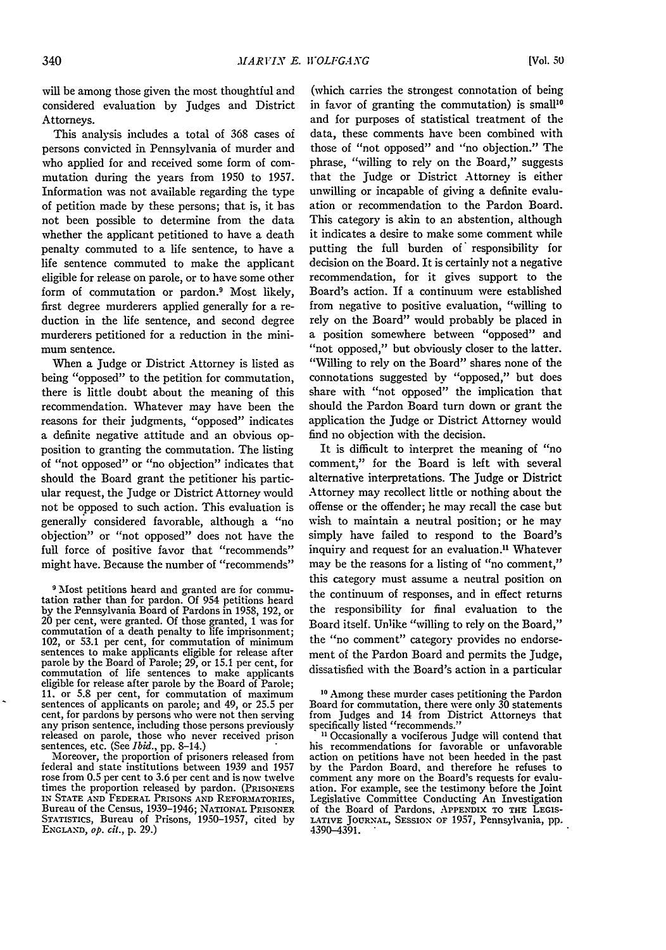will be among those given the most thoughtful and considered evaluation by Judges and District Attorneys.

This analysis includes a total of 368 cases of persons convicted in Pennsylvania of murder and who applied for and received some form of commutation during the years from 1950 to 1957. Information was not available regarding the type of petition made by these persons; that is, it has not been possible to determine from the data whether the applicant petitioned to have a death penalty commuted to a life sentence, to have a life sentence commuted to make the applicant eligible for release on parole, or to have some other form of commutation or pardon.<sup>9</sup> Most likely, first degree murderers applied generally for a reduction in the life sentence, and second degree murderers petitioned for a reduction in the minimum sentence.

When a Judge or District Attorney is listed as being "opposed" to the petition for commutation, there is little doubt about the meaning of this recommendation. Whatever may have been the reasons for their judgments, "opposed" indicates a definite negative attitude and an obvious opposition to granting the commutation. The listing of "not opposed" or "no objection" indicates that should the Board grant the petitioner his particular request, the Judge or District Attorney would not be opposed to such action. This evaluation is generally considered favorable, although a "no objection" or "not opposed" does not have the full force of positive favor that "recommends" might have. Because the number of "recommends"

Moreover, the proportion of prisoners released from federal and state institutions between 1939 and 1957 rose from 0.5 per cent to 3.6 per cent and is now twelve times the proportion released by pardon. (PRISONERS **IN STATE AND FEDERAL** PRISONS **AND** REFORMATORIES, Bureau of the Census, 1939-1946; **NATIONAL** PRISONER STATIsTIcs, Bureau of Prisons, 1950-1957, cited by **ENGLAND,** *op. cit.,* p. 29.)

(which carries the strongest connotation of being in favor of granting the commutation) is small<sup>10</sup> and for purposes of statistical treatment of the data, these comments have been combined with those of "not opposed" and "no objection." The phrase, "willing to rely on the Board," suggests that the Judge or District Attorney is either unwilling or incapable of giving a definite evaluation or recommendation to the Pardon Board. This category is akin to an abstention, although it indicates a desire to make some comment while putting the full burden of' responsibility for decision on the Board. It is certainly not a negative recommendation, for it gives support to the Board's action. If a continuum were established from negative to positive evaluation, "willing to rely on the Board" would probably be placed in a position somewhere between "opposed" and "not opposed," but obviously closer to the latter. "Willing to rely on the Board" shares none of the connotations suggested by "opposed," but does share with "not opposed" the implication that should the Pardon Board turn down or grant the application the Judge or District Attorney would find no objection with the decision.

It is difficult to interpret the meaning of "no comment," for the Board is left with several alternative interpretations. The Judge or District Attorney may recollect little or nothing about the offense or the offender; he may recall the case but wish to maintain a neutral position; or he may simply have failed to respond to the Board's inquiry and request for an evaluation." Whatever may be the reasons for a listing of "no comment," this category must assume a neutral position on the continuum of responses, and in effect returns the responsibility for final evaluation to the Board itself. Unlike "willing to rely on the Board," the "no comment" category provides no endorsement of the Pardon Board and permits the Judge, dissatisfied with the Board's action in a particular

**<sup>9</sup>**Most petitions heard and granted are for commu- tation rather than for pardon. Of 954 petitions heard by the Pennsylvania Board of Pardons in 1958, 192, or 20 per cent, were granted. Of those granted, 1 was for 20 per cent, were granted. Of those granted, 1 was for commutation of a death penalty to life imprisonment; 102, or 53.1 per cent, for commutation of minimum sentences to make applicants eligible for release after parole by the Board of Parole; 29, or 15.1 per cent, for commutation of life sentences to make applicants eligible for release after parole by the Board of Parole; 11. or 5.8 per cent, for commutation of maximum sentences of applicants on parole; and 49, or 25.5 per cent, for pardons by persons who were not then serving any prison sentence, including those persons previously released on parole, those who never received prison sentences, etc. (See *Ibid.*, pp. 8-14.)

**<sup>10</sup>** Among these murder cases petitioning the Pardon Board for commutation, there were only **30** statements from Judges and 14 from District Attorneys that specifically listed "recommends."

**<sup>11</sup>** Occasionally a vociferous Judge will contend that his recommendations for favorable or unfavorable action on petitions have not been heeded in the past by the Pardon Board, and therefore he refuses to comment any more on the Board's requests for evaluation. For example, see the testimony before the Joint Legislative Committee Conducting An Investigation of the Board of Pardons, APPENDIX TO **THE LEGIS-LATIVE JOURNAL, SESSION OF** 1957, Pennsylvania, pp. 4390-4391.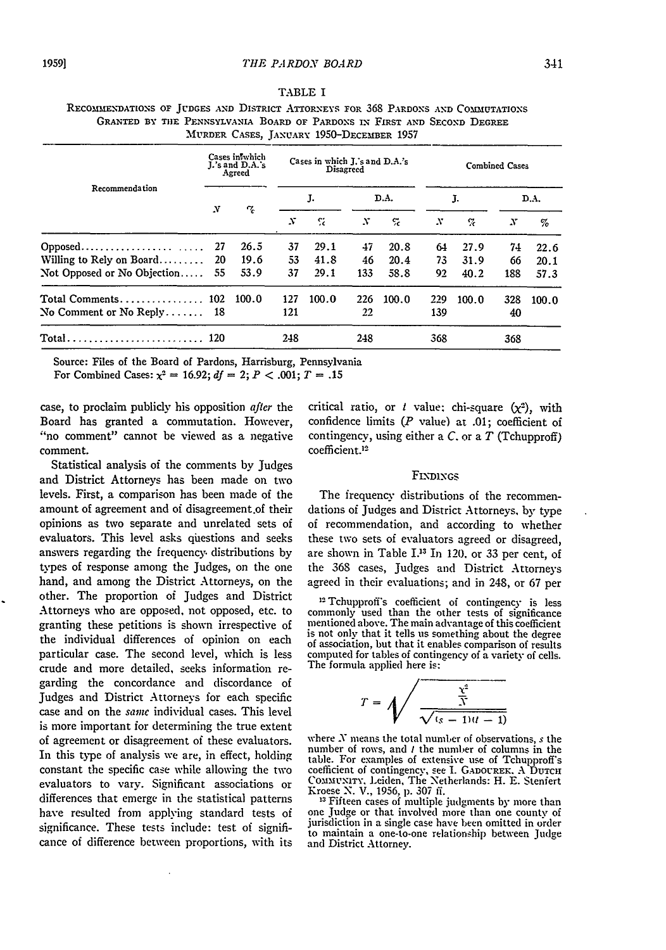TABLE I

| Recommendation                 | Cases inwhich<br>J.'s and D.A.'s<br>Agreed |       | Cases in which J.'s and D.A.'s<br>Disagreed |       |      |       | <b>Combined Cases</b> |       |      |       |
|--------------------------------|--------------------------------------------|-------|---------------------------------------------|-------|------|-------|-----------------------|-------|------|-------|
|                                | N                                          | ጜ     | J.                                          |       | D.A. |       | J.                    |       | D.A. |       |
|                                |                                            |       | N                                           | S.    | x    | ç.    | N                     | e.    | N    | %     |
|                                | -27                                        | 26.5  | 37                                          | 29.1  | 47   | 20.8  | 64                    | 27.9  | 74   | 22.6  |
| Willing to Rely on Board       | -20                                        | 19.6  | 53                                          | 41.8  | 46   | 20.4  | 73.                   | 31.9  | 66   | 20.1  |
| Not Opposed or No Objection 55 |                                            | 53.9  | 37                                          | 29.1  | 133  | 58.8  | 92                    | 40.2  | 188  | 57.3  |
|                                |                                            | 100.0 | 127                                         | 100.0 | 226  | 100.0 | 229                   | 100.0 | 328  | 100.0 |
| No Comment or No Reply $18$    |                                            |       | 121                                         |       | 22   |       | 139                   |       | 40   |       |
| Total 120                      |                                            |       | 248                                         |       | 248  |       | 368                   |       | 368  |       |

# REcoMMENDATIoNs OF **JUDGES AND** DISTRICT ATTORNEYS **FOR 368** PARDONS **AND** COMMIUTATIONS **GRANTED** BY **THE** PENNSYLVANIA BOARD OF PARDONS IN FIRST **AND** SECOND DEGREE  $M_{\text{unnum}}$   $C_{\text{1.022}}$   $T_{\text{unnum}}$  1050 $T_{\text{unnum}}$  1957

Source: Files of the Board of Pardons, Harrisburg, Pennsylvania

For Combined Cases:  $\chi^2 = 16.92$ ;  $df = 2$ ;  $P < .001$ ;  $T = .15$ 

case, to proclaim publicly his opposition after the Board has granted a commutation. However, "no comment" cannot be viewed as a negative comment.

Statistical analysis of the comments **by** Judges and District Attorneys has been made on two levels. First, a comparison has been made of the amount of agreement and of disagreement.of their opinions as two separate and unrelated sets of evaluators. This level asks questions and seeks answers regarding the frequency, distributions by types of response among the Judges, on the one hand, and among the District Attorneys, on the other. The proportion of Judges and District Attorneys who are opposed, not opposed, etc. to granting these petitions is shown irrespective of the individual differences of opinion on each particular case. The second level, which is less crude and more detailed, seeks information regarding the concordance and discordance of Judges and District Attorneys for each specific case and on the same individual cases. This level is more important for determining the true extent of agreement or disagreement of these evaluators. In this type of analysis we are, in effect, holding constant the specific case while allowing the two evaluators to vary. Significant associations or differences that emerge in the statistical patterns have resulted from applying standard tests of significance. These tests include: test of significance of difference between proportions, with its critical ratio, or *I* value: chi-square  $(x^2)$ , with confidence limits *(P* value) at .01; coefficient of contingency, using either a C. or a *T* (Tchupproff) coefficient.12

#### FiNDINGs

The frequency distributions of the recommendations of Judges and District Attorneys, by type oi recommendation, and according to whether these two sets of evaluators agreed or disagreed, are shown in Table 1.13 In 120. or 33 per cent, of the 368 cases, Judges and District Attorneys agreed in their evaluations; and in 248, or 67 per

**12** Tchupprof's coefficient of contingency is less commonly used than the other tests of significance mentioned above. The main advantage of this coefficient mentioned above. The main advantage of this coefficient is not only that it tells us something about the degree of association, but that it enables comparison of results computed for tables of contingency of a variety of cells. The formula applied here is:

$$
T = \sqrt{\frac{\frac{\chi^2}{\overline{N}}}{\sqrt{(s-1)(t-1)}}}
$$

where  $N$  means the total number of observations,  $s$  the number of rows, and *t* the number of columns in the table. For examples of extensive use of Tchupproff's coefficient of contingency, see **1.** GADOUREK. A DUTCH COMMUNITY, Leiden, The Netherlands: H. E. Stenfert<br>Kroese N. V., 1956, p. 307 ff.<br><sup>13</sup> Fifteen cases of multiple judgments by more than<br>one Judge or that involved more than one county of

one Judge or that involved more than one county of<br>jurisdiction in a single case have been omitted in order to maintain a one-to-one relationship between Judge and District Attorney.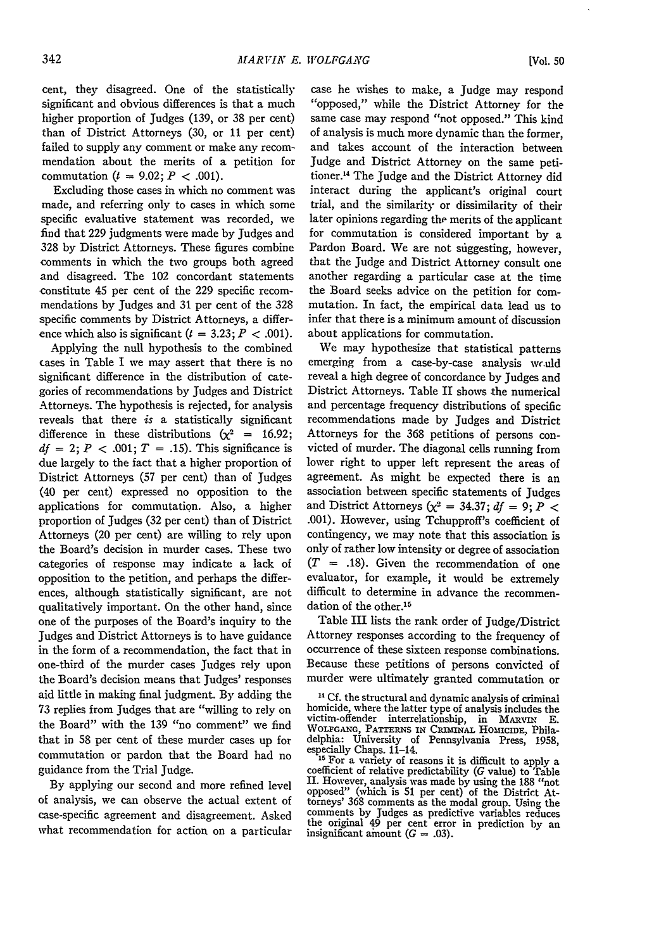*[Vol. 50*

cent, they disagreed. One of the statistically significant and obvious differences is that a much higher proportion of Judges (139, or 38 per cent) than of District Attorneys (30, or 11 per cent) failed to supply any comment or make any recommendation about the merits of a petition for commutation  $(t = 9.02; P < .001)$ .

Excluding those cases in which no comment was made, and referring only to cases in which some specific evaluative statement was recorded, we find that 229 judgments were made by Judges and 328 by District Attorneys. These figures combine comments in which the two groups both agreed and disagreed. The 102 concordant statements constitute 45 per cent of the 229 specific recommendations by Judges and 31 per cent of the 328 specific comments by District Attorneys, a difference which also is significant  $(t = 3.23; P < .001)$ .

Applying the null hypothesis to the combined cases in Table I we may assert that there is no significant difference in the distribution of categories of recommendations by Judges and District Attorneys. The hypothesis is rejected, for analysis reveals that there *is* a statistically significant difference in these distributions  $(x^2 = 16.92)$ ;  $df = 2$ ;  $P < .001$ ;  $T = .15$ ). This significance is due largely to the fact that a higher proportion of District Attorneys (57 per cent) than of Judges (40 per cent) expressed no opposition to the applications for commutation. Also, a higher proportion of Judges (32 per cent) than of District Attorneys (20 per cent) are willing to rely upon the Board's decision in murder cases. These two categories of response may indicate a lack of opposition to the petition, and perhaps the differences, although statistically significant, are not qualitatively important. On the other hand, since one of the purposes of the Board's inquiry to the Judges and District Attorneys is to have guidance in the form of a recommendation, the fact that in one-third of the murder cases Judges rely upon the Board's decision means that Judges' responses aid little in making final judgment. By adding the 73 replies from Judges that are "willing to rely on the Board" with the 139 "no comment" we find that in 58 per cent of these murder cases up for commutation or pardon that the Board had no guidance from the Trial Judge.

By applying our second and more refined level of analysis, we can observe the actual extent of case-specific agreement and disagreement. Asked what recommendation for action on a particular

case he wishes to make, a Judge may respond "opposed," while the District Attorney for the same case may respond "not opposed." This kind of analysis is much more dynamic than the former, and takes account of the interaction between Judge and District Attorney on the same petitioner. 14 The Judge and the District Attorney did interact during the applicant's original court trial, and the similarity or dissimilarity of their later opinions regarding the merits of the applicant for commutation is considered important by a Pardon Board. We are not suggesting, however, that the Judge and District Attorney consult one another regarding a particular case at the time the Board seeks advice on the petition for commutation. In fact, the empirical data lead us to infer that there is a minimum amount of discussion about applications for commutation.

We may hypothesize that statistical patterns emerging from a case-by-case analysis would reveal a high degree of concordance by Judges and District Attorneys. Table II shows the numerical and percentage frequency distributions of specific recommendations made by Judges and District Attorneys for the 368 petitions of persons convicted of murder. The diagonal cells running from lower right to upper left represent the areas of agreement. As might be expected there is an association between specific statements of Judges and District Attorneys  $(x^2 = 34.37; df = 9; P <$ .001). However, using Tchupproff's coefficient of contingency, we may note that this association is only of rather low intensity or degree of association *(T* **=** .18). Given the recommendation of one evaluator, for example, it would be extremely difficult to determine in advance the recommendation of the other.<sup>15</sup>

Table III lists the rank order of Judge/District Attorney responses according to the frequency of occurrence of these sixteen response combinations. Because these petitions of persons convicted of murder were ultimately granted commutation or

**14** Cf. the structural and dynamic analysis of criminal homicide, where the latter type of analysis includes the victim-offender interrelationship, in MARVIN E.<br>WOLFGANG, PATTERNS IN CRIMINAL HOMICIDE, Philadelphia: University of Pennsylvania Press, **1958,** especially Chaps. 11-14. **<sup>15</sup>**For a variety of reasons it is difficult to apply a coefficient of relative predictability **(G** value) to Table

**II.** However, analysis was made **by** using the **188** "not opposed" (which is **51** per cent) of the District At-torneys' **368** comments as the modal group. Using the comments **by** Judges as predictive variablcs reduces the original 49 per cent error in prediction by an insignificant amount *(G* = .03).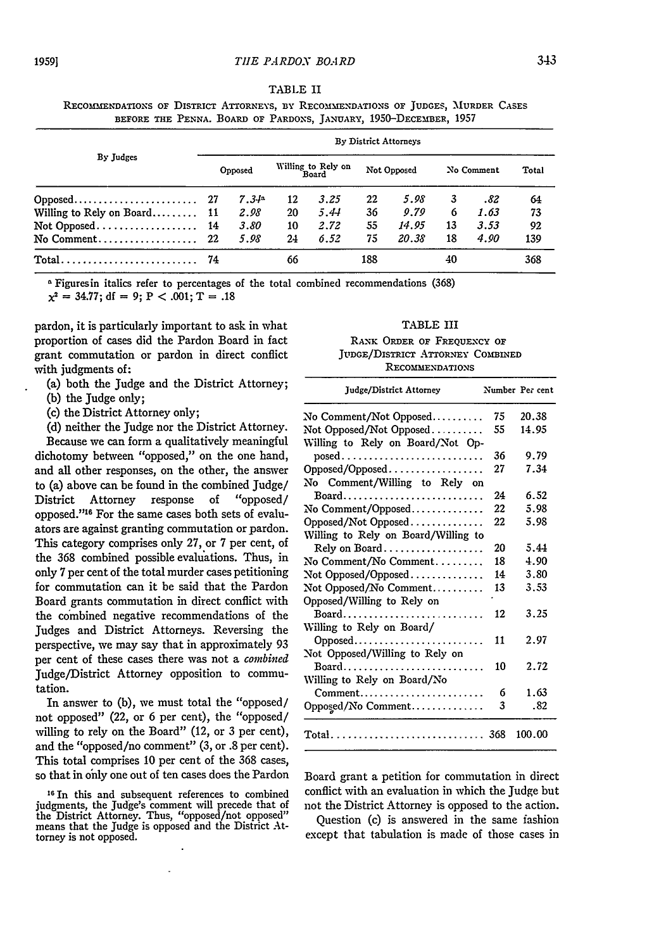| TABLE II |  |  |
|----------|--|--|
|          |  |  |

RECOMMENDATIONS OF DISTRICT ATTORNEYS, BY RECOMMENDATIONS OF JUDGES, MURDER CASES **BEFORE THE PENNA. BOARD OF PARDONS, JANUARY, 1950-DECEMBER, 1957**

| By Judges                                               |     | By District Attorneys |    |                             |     |             |    |            |     |  |
|---------------------------------------------------------|-----|-----------------------|----|-----------------------------|-----|-------------|----|------------|-----|--|
|                                                         |     | Opposed               |    | Willing to Rely on<br>Board |     | Not Opposed |    | No Comment |     |  |
|                                                         |     | $7.34^{\circ}$        | 12 | 3.25                        | 22  | 5.98        | 3  | .82        | 64  |  |
| Willing to Rely on Board 11                             |     | 2.98                  | 20 | 5.44                        | 36  | 9.79        | 6  | 1.63       | 73  |  |
| Not Opposed 14                                          |     | 3.80                  | 10 | 2.72                        | 55  | 14.95       | 13 | 3.53       | 92  |  |
|                                                         |     | 5.98                  | 24 | 6.52                        | 75  | 20.38       | 18 | 4.90       | 139 |  |
| $Total \dots \dots \dots \dots \dots \dots \dots \dots$ | -74 |                       | 66 |                             | 188 |             | 40 |            | 368 |  |

<sup>a</sup> Figuresin italics refer to percentages of the total combined recommendations (368)

 $x^2 = 34.77$ ; df = 9; P < .001; T = .18

pardon, it is particularly important to ask in what proportion of cases did the Pardon Board in fact grant commutation or pardon in direct conflict with judgments of:

- (a) both the Judge and the District Attorney;
- (b) the Judge only;
- (c) the District Attorney only;

(d) neither the Judge nor the District Attorney. Because we can form a qualitatively meaningful dichotomy between "opposed," on the one hand, and all other responses, on the other, the answer to (a) above can be found in the combined Judge/ District Attorney response of "opposed/ opposed."<sup>16</sup> For the same cases both sets of evaluators are against granting commutation or pardon. This category comprises only 27, or 7 per cent, of the 368 combined possible evaluations. Thus, in only 7 per cent of the total murder cases petitioning for commutation can it be said that the Pardon Board grants commutation in direct conflict with the combined negative recommendations of the Judges and District Attorneys. Reversing the perspective, we may say that in approximately 93 per cent of these cases there was not a *combined* Judge/District Attorney opposition to commutation.

In answer to (b), we must total the "opposed/ not opposed" (22, or 6 per cent), the "opposed/ willing to rely on the Board" (12, or 3 per cent), and the "opposed/no comment" (3, or .8 per cent). This total comprises 10 per cent of the 368 cases, so that in only one out of ten cases does the Pardon

TABLE III **RANK ORDER OF FREQUENCY OF JUDGE/DsTRICT ATTORNEY COMBINED**

**RECOMMENDATIONS**

| Judge/District Attorney              |    | Number Per cent |
|--------------------------------------|----|-----------------|
| No Comment/Not Opposed               | 75 | 20.38           |
| Not Opposed/Not Opposed              | 55 | 14.95           |
| Willing to Rely on Board/Not Op-     |    |                 |
|                                      | 36 | 9.79            |
|                                      | 27 | 7.34            |
| No Comment/Willing to Rely on        |    |                 |
| Board                                | 24 | 6.52            |
| No Comment/Opposed                   | 22 | 5.98            |
| Opposed/Not Opposed                  | 22 | 5.98            |
| Willing to Rely on Board/Willing to  |    |                 |
| Rely on Board                        | 20 | 5.44            |
| No Comment/No Comment                | 18 | 4.90            |
| $\operatorname{Not}$ Opposed/Opposed | 14 | 3.80            |
| Not Opposed/No Comment               | 13 | 3.53            |
| Opposed/Willing to Rely on           |    |                 |
| Board                                | 12 | 3.25            |
| Willing to Rely on Board/            |    |                 |
| Opposed                              | 11 | 2.97            |
| Not Opposed/Willing to Rely on       |    |                 |
| Board                                | 10 | 2.72            |
| Willing to Rely on Board/No          |    |                 |
| Comment                              | 6  | 1.63            |
| Opposed/No Comment                   | 3  | .82             |
|                                      |    | 100.00          |

Board grant a petition for commutation in direct conflict with an evaluation in which the Judge but not the District Attorney is opposed to the action.

Question (c) is answered in the same fashion except that tabulation is made of those cases in

**<sup>16</sup>**In this and subsequent references to combined judgments, the Judge's comment wiU precede that of the District Attorney. Thus, "opposed/not opposed" means that the Judge is opposed and the District Atmeans that the Judge is opposed and the District Attorney is not opposed.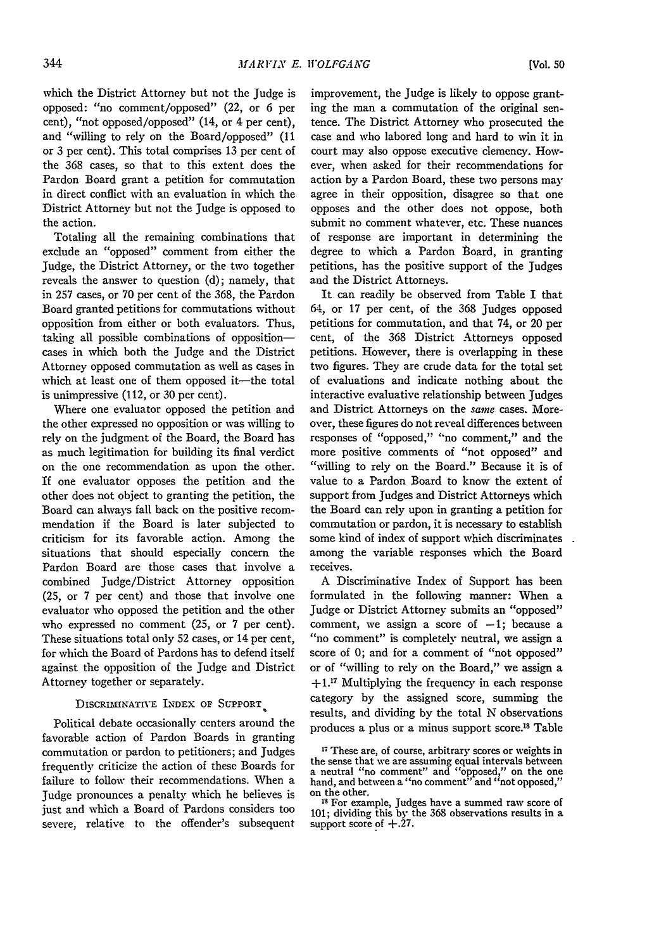which the District Attorney but not the Judge is opposed: "no comment/opposed" (22, or 6 per cent), "not opposed/opposed" (14, or 4 per cent), and "willing to rely on the Board/opposed" (11 or 3 per cent). This total comprises 13 per cent of the 368 cases, so that to this extent does the Pardon Board grant a petition for commutation in direct conflict with an evaluation in which the District Attorney but not the Judge is opposed to the action.

Totaling all the remaining combinations that exclude an "opposed" comment from either the Judge, the District Attorney, or the two together reveals the answer to question (d); namely, that in 257 cases, or 70 per cent of the 368, the Pardon Board granted petitions for commutations without opposition from either or both evaluators. Thus, taking all possible combinations of oppositioncases in which both the Judge and the District Attorney opposed commutation as well as cases in which at least one of them opposed it-the total is unimpressive (112, or 30 per cent).

Where one evaluator opposed the petition and the other expressed no opposition or was willing to rely on the judgment of the Board, the Board has as much legitimation for building its final verdict on the one recommendation as upon the other. If one evaluator opposes the petition and the other does not object to granting the petition, the Board can always fall back on the positive recommendation if the Board is later subjected to criticism for its favorable action. Among the situations that should especially concern the Pardon Board are those cases that involve a combined Judge/District Attorney opposition (25, or 7 per cent) and those that involve one evaluator who opposed the petition and the other who expressed no comment (25, or 7 per cent). These situations total only 52 cases, or 14 per cent, for which the Board of Pardons has to defend itself against the opposition of the Judge and District Attorney together or separately.

# DISCRIMNATIVE INDEX **OF** SUPPORT

Political debate occasionally centers around the favorable action of Pardon Boards in granting commutation or pardon to petitioners; and Judges frequently criticize the action of these Boards for failure to follow their recommendations. When a Judge pronounces a penalty which he believes is just and which a Board of Pardons considers too severe, relative to the offender's subsequent

improvement, the Judge is likely to oppose granting the man a commutation of the original sentence. The District Attorney who prosecuted the case and who labored long and hard to win it in court may also oppose executive clemency. However, when asked for their recommendations for action by a Pardon Board, these two persons may agree in their opposition, disagree so that one opposes and the other does not oppose, both submit no comment whatever, etc. These nuances of response are important in determining the degree to which a Pardon Board, in granting petitions, has the positive support of the Judges and the District Attorneys.

It can readily be observed from Table I that 64, or 17 per cent, of the 368 Judges opposed petitions for commutation, and that 74, or 20 per cent, of the 368 District Attorneys opposed petitions. However, there is overlapping in these two figures. They are crude data for the total set of evaluations and indicate nothing about the interactive evaluative relationship between Judges and District Attorneys on the same cases. Moreover, these figures do not reveal differences between responses of "opposed," "no comment," and the more positive comments of "not opposed" and "willing to rely on the Board." Because it is of value to a Pardon Board to know the extent of support from Judges and District Attorneys which the Board can rely upon in granting a petition for commutation or pardon, it is necessary to establish some kind of index of support which discriminates among the variable responses which the Board receives.

A Discriminative Index of Support has been formulated in the following manner: When a Judge or District Attorney submits an "opposed" comment, we assign a score of  $-1$ ; because a "no comment" is completely neutral, we assign a score of 0; and for a comment of "not opposed" or of "willing to rely on the Board," we assign a **+1.Y** Multiplying the frequency in each response category by the assigned score, summing the results, and dividing by the total N observations produces a plus or a minus support score.<sup>18</sup> Table

**<sup>17</sup>**These are, of course, arbitrary scores or weights in the sense that we are assuming equal intervals between a neutral "no comment" and "opposed," on the one hand, and between a "no comment" and "not opposed," on the other.

<sup>&</sup>lt;sup>18</sup> For example, Judges have a summed raw score of 101; dividing this by the 368 observations results in a support score of +.27.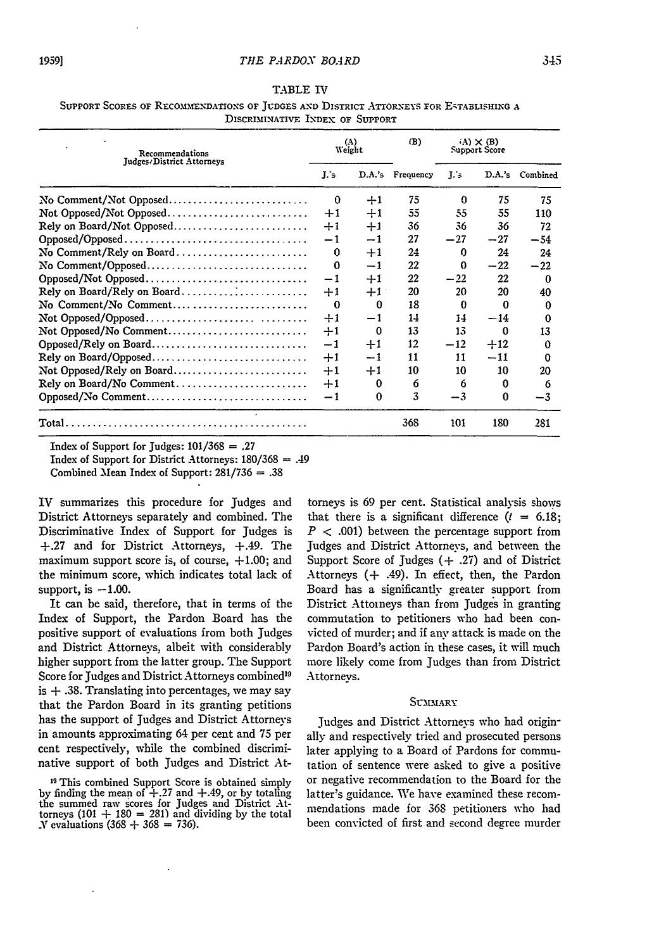| Support Scores of Recommendations of Tudges and District Attorneys for Establishing a |                                 |  |  |
|---------------------------------------------------------------------------------------|---------------------------------|--|--|
|                                                                                       | DISCRIMINATIVE INDEX OF SUPPORT |  |  |

| Recommendations             | (A)<br>Weight |      | (B)              | $(A) \times (B)$<br>Support Score |          |                 |
|-----------------------------|---------------|------|------------------|-----------------------------------|----------|-----------------|
| Judges/District Attorneys   |               |      | D.A.'s Frequency | L's                               |          | D.A.'s Combined |
| No Comment/Not Opposed      | 0             | $+1$ | 75               | $\Omega$                          | 75       | 75              |
| Not Opposed/Not Opposed     | $+1$          | $+1$ | 55               | 55                                | 55       | 110             |
| Rely on Board/Not Opposed   | $+1$          | $+1$ | 36               | 36                                | 36       | 72              |
| Opposed/Opposed             | $-1$          | $-1$ | 27               | $-27$                             | $-27$    | $-54$           |
| No Comment/Rely on Board    | 0             | $+1$ | 24               | $\Omega$                          | 24       | 24              |
| No Comment/Opposed          | $\Omega$      | $-1$ | 22               | 0                                 | $-22$    | $-22$           |
| Opposed/Not Opposed         | $-1$          | $+1$ | 22               | $-22$                             | 22       | $\Omega$        |
| Rely on Board/Rely on Board | $+1$          | $+1$ | 20               | 20                                | 20       | 40              |
| No Comment/No Comment       | $\Omega$      | 0    | 18               | $\Omega$                          | $\Omega$ | o               |
|                             | $+1$          | $-1$ | 14               | 14                                | $-14$    | 0               |
| Not Opposed/No Comment      | $+1$          | 0    | 13               | 13                                | $\Omega$ | 13              |
| Opposed/Rely on Board       | $-1$          | $+1$ | 12               | $-12$                             | $+12$    | $\Omega$        |
| Rely on Board/Opposed       | $+1$          | -1   | 11               | 11                                | $-11$    | ∩               |
| Not Opposed/Rely on Board   | $+1$          | $+1$ | 10               | 10                                | 10       | 20              |
| Rely on Board/No Comment    | $+1$          | 0    | 6                | 6                                 | 0        | 6               |
| Opposed/No Comment          | $-1$          | 0    | 3                | $-3$                              | $\Omega$ | $-3$            |
|                             |               |      | 368              | 101                               | 180      | 281             |

Index of Support for Judges: 101/368 **=** .27

Index of Support for District Attorneys: 180/368 **=** .49

Combined Mean Index of Support: 281/736 **=** .38

IV summarizes this procedure for Judges and District Attorneys separately and combined. The Discriminative Index of Support for Judges is +.27 and for District Attorneys, +.49. The maximum support score is, of course,  $+1.00$ ; and the minimum score, which indicates total lack of support, is  $-1.00$ .

It can be said, therefore, that in terms of the Index of Support, the Pardon Board has the positive support of evaluations from both Judges and District Attorneys, albeit with considerably higher support from the latter group. The Support Score for Judges and District Attorneys combined<sup>19</sup> is  $+$  .38. Translating into percentages, we may say that the Pardon Board in its granting petitions has the support of Judges and District Attorneys in amounts approximating 64 per cent and **75** per cent respectively, while the combined discriminative support of both Judges and District At-

torneys is 69 per cent. Statistical analysis shows that there is a significant difference  $(t = 6.18)$ ;  $P < .001$ ) between the percentage support from Judges and District Attorneys, and between the Support Score of Judges **(+** .27) and of District Attorneys **(+** .49). In effect, then, the Pardon Board has a significantly greater support from District Attoineys than from Judges in granting commutation to petitioners who had been convicted of murder; and if any attack is made on the Pardon Board's action in these cases, it will much more likely come from Judges than from District Attorneys.

# SUMMARY

Judges and District Attorneys who had originally and respectively tried and prosecuted persons later applying to a Board of Pardons for commutation of sentence were asked to give a positive or negative recommendation to the Board for the latter's guidance. We have examined these recommendations made for 368 petitioners who had been convicted of first and second degree murder

**<sup>19</sup>** This combined Support Score is obtained simply by finding the mean of **+.27** and +.49, or by totaling the summed raw scores for Judges and District Attorneys  $(101 + 180 = 281)$  and dividing by the total  $X$  evaluations (368  $+$  368  $=$  736).